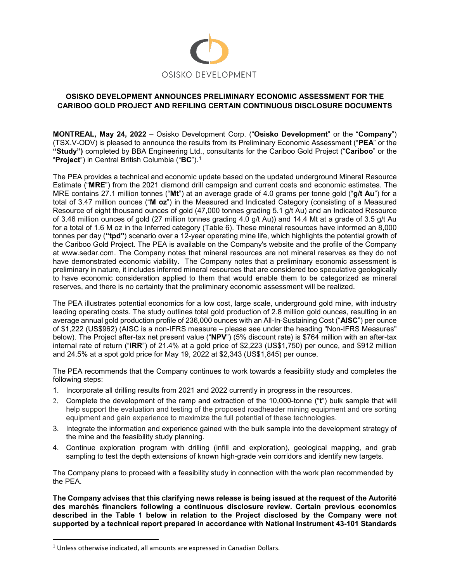

# **OSISKO DEVELOPMENT ANNOUNCES PRELIMINARY ECONOMIC ASSESSMENT FOR THE CARIBOO GOLD PROJECT AND REFILING CERTAIN CONTINUOUS DISCLOSURE DOCUMENTS**

**MONTREAL, May 24, 2022** – Osisko Development Corp. ("**Osisko Development**" or the "**Company**") (TSX.V-ODV) is pleased to announce the results from its Preliminary Economic Assessment ("**PEA**" or the **"Study")** completed by BBA Engineering Ltd., consultants for the Cariboo Gold Project ("**Cariboo**" or the "**Project**") in Central British Columbia ("**BC**").[1](#page-0-0)

The PEA provides a technical and economic update based on the updated underground Mineral Resource Estimate ("**MRE**") from the 2021 diamond drill campaign and current costs and economic estimates. The MRE contains 27.1 million tonnes ("**Mt**") at an average grade of 4.0 grams per tonne gold ("**g/t Au**") for a total of 3.47 million ounces ("**M oz**") in the Measured and Indicated Category (consisting of a Measured Resource of eight thousand ounces of gold (47,000 tonnes grading 5.1 g/t Au) and an Indicated Resource of 3.46 million ounces of gold (27 million tonnes grading 4.0 g/t Au)) and 14.4 Mt at a grade of 3.5 g/t Au for a total of 1.6 M oz in the Inferred category (Table 6). These mineral resources have informed an 8,000 tonnes per day (**"tpd"**) scenario over a 12-year operating mine life, which highlights the potential growth of the Cariboo Gold Project. The PEA is available on the Company's website and the profile of the Company at www.sedar.com. The Company notes that mineral resources are not mineral reserves as they do not have demonstrated economic viability. The Company notes that a preliminary economic assessment is preliminary in nature, it includes inferred mineral resources that are considered too speculative geologically to have economic consideration applied to them that would enable them to be categorized as mineral reserves, and there is no certainty that the preliminary economic assessment will be realized.

The PEA illustrates potential economics for a low cost, large scale, underground gold mine, with industry leading operating costs. The study outlines total gold production of 2.8 million gold ounces, resulting in an average annual gold production profile of 236,000 ounces with an All-In-Sustaining Cost ("**AISC**") per ounce of \$1,222 (US\$962) (AISC is a non-IFRS measure – please see under the heading "Non-IFRS Measures" below). The Project after-tax net present value ("**NPV**") (5% discount rate) is \$764 million with an after-tax internal rate of return ("**IRR**") of 21.4% at a gold price of \$2,223 (US\$1,750) per ounce, and \$912 million and 24.5% at a spot gold price for May 19, 2022 at \$2,343 (US\$1,845) per ounce.

The PEA recommends that the Company continues to work towards a feasibility study and completes the following steps:

- 1. Incorporate all drilling results from 2021 and 2022 currently in progress in the resources.
- 2. Complete the development of the ramp and extraction of the 10,000-tonne ("**t**") bulk sample that will help support the evaluation and testing of the proposed roadheader mining equipment and ore sorting equipment and gain experience to maximize the full potential of these technologies.
- 3. Integrate the information and experience gained with the bulk sample into the development strategy of the mine and the feasibility study planning.
- 4. Continue exploration program with drilling (infill and exploration), geological mapping, and grab sampling to test the depth extensions of known high-grade vein corridors and identify new targets.

The Company plans to proceed with a feasibility study in connection with the work plan recommended by the PEA.

**The Company advises that this clarifying news release is being issued at the request of the Autorité des marchés financiers following a continuous disclosure review. Certain previous economics described in the Table 1 below in relation to the Project disclosed by the Company were not supported by a technical report prepared in accordance with National Instrument 43-101 Standards** 

<span id="page-0-0"></span><sup>&</sup>lt;sup>1</sup> Unless otherwise indicated, all amounts are expressed in Canadian Dollars.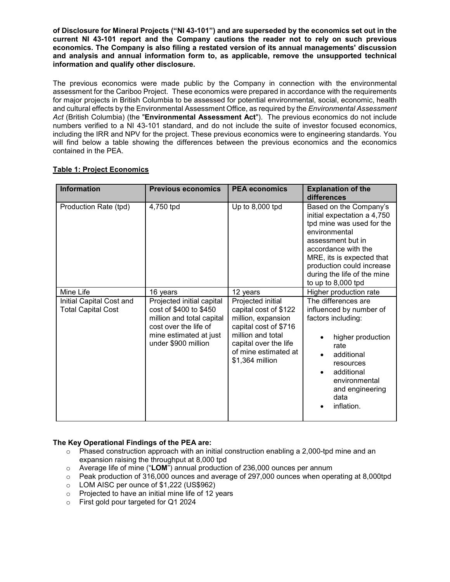**of Disclosure for Mineral Projects ("NI 43-101") and are superseded by the economics set out in the current NI 43-101 report and the Company cautions the reader not to rely on such previous economics. The Company is also filing a restated version of its annual managements' discussion and analysis and annual information form to, as applicable, remove the unsupported technical information and qualify other disclosure.**

The previous economics were made public by the Company in connection with the environmental assessment for the Cariboo Project. These economics were prepared in accordance with the requirements for major projects in British Columbia to be assessed for potential environmental, social, economic, health and cultural effects by the Environmental Assessment Office, as required by the *Environmental Assessment Act* (British Columbia) (the "**Environmental Assessment Act**"). The previous economics do not include numbers verified to a NI 43-101 standard, and do not include the suite of investor focused economics, including the IRR and NPV for the project. These previous economics were to engineering standards. You will find below a table showing the differences between the previous economics and the economics contained in the PEA.

| <b>Information</b>                                    | <b>Previous economics</b>                                                                                                                                  | <b>PEA</b> economics                                                                                                                                                               | <b>Explanation of the</b><br>differences                                                                                                                                                                                                                         |
|-------------------------------------------------------|------------------------------------------------------------------------------------------------------------------------------------------------------------|------------------------------------------------------------------------------------------------------------------------------------------------------------------------------------|------------------------------------------------------------------------------------------------------------------------------------------------------------------------------------------------------------------------------------------------------------------|
| Production Rate (tpd)                                 | 4,750 tpd                                                                                                                                                  | Up to 8,000 tpd                                                                                                                                                                    | Based on the Company's<br>initial expectation a 4,750<br>tpd mine was used for the<br>environmental<br>assessment but in<br>accordance with the<br>MRE, its is expected that<br>production could increase<br>during the life of the mine<br>to up to $8,000$ tpd |
| Mine Life                                             | 16 years                                                                                                                                                   | 12 years                                                                                                                                                                           | Higher production rate                                                                                                                                                                                                                                           |
| Initial Capital Cost and<br><b>Total Capital Cost</b> | Projected initial capital<br>cost of \$400 to \$450<br>million and total capital<br>cost over the life of<br>mine estimated at just<br>under \$900 million | Projected initial<br>capital cost of \$122<br>million, expansion<br>capital cost of \$716<br>million and total<br>capital over the life<br>of mine estimated at<br>\$1,364 million | The differences are<br>influenced by number of<br>factors including:<br>higher production<br>rate<br>additional<br>resources<br>additional<br>environmental<br>and engineering<br>data<br>inflation.                                                             |

# **Table 1: Project Economics**

# **The Key Operational Findings of the PEA are:**

- $\circ$  Phased construction approach with an initial construction enabling a 2,000-tpd mine and an expansion raising the throughput at 8,000 tpd
- o Average life of mine ("**LOM**") annual production of 236,000 ounces per annum
- $\circ$  Peak production of 316,000 ounces and average of 297,000 ounces when operating at 8,000tpd
- o LOM AISC per ounce of \$1,222 (US\$962)
- o Projected to have an initial mine life of 12 years
- o First gold pour targeted for Q1 2024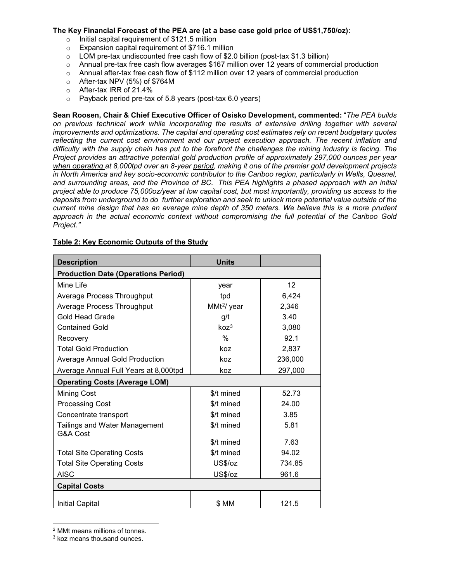#### **The Key Financial Forecast of the PEA are (at a base case gold price of US\$1,750/oz):**

- $\circ$  Initial capital requirement of \$121.5 million
- o Expansion capital requirement of \$716.1 million
- $\circ$  LOM pre-tax undiscounted free cash flow of \$2.0 billion (post-tax \$1.3 billion)
- o Annual pre-tax free cash flow averages \$167 million over 12 years of commercial production
- o Annual after-tax free cash flow of \$112 million over 12 years of commercial production
- o After-tax NPV (5%) of \$764M
- o After-tax IRR of 21.4%
- o Payback period pre-tax of 5.8 years (post-tax 6.0 years)

**Sean Roosen, Chair & Chief Executive Officer of Osisko Development, commented:** "*The PEA builds on previous technical work while incorporating the results of extensive drilling together with several improvements and optimizations. The capital and operating cost estimates rely on recent budgetary quotes reflecting the current cost environment and our project execution approach. The recent inflation and difficulty with the supply chain has put to the forefront the challenges the mining industry is facing. The Project provides an attractive potential gold production profile of approximately 297,000 ounces per year when operating at 8,000tpd over an 8-year period, making it one of the premier gold development projects in North America and key socio-economic contributor to the Cariboo region, particularly in Wells, Quesnel, and surrounding areas, and the Province of BC. This PEA highlights a phased approach with an initial project able to produce 75,000oz/year at low capital cost, but most importantly, providing us access to the deposits from underground to do further exploration and seek to unlock more potential value outside of the current mine design that has an average mine depth of 350 meters. We believe this is a more prudent approach in the actual economic context without compromising the full potential of the Cariboo Gold Project."*

| <b>Description</b>                               | <b>Units</b>            |                 |  |  |
|--------------------------------------------------|-------------------------|-----------------|--|--|
| <b>Production Date (Operations Period)</b>       |                         |                 |  |  |
| Mine Life                                        | year                    | 12 <sup>2</sup> |  |  |
| Average Process Throughput                       | tpd                     | 6,424           |  |  |
| Average Process Throughput                       | MMt <sup>2</sup> / year | 2,346           |  |  |
| Gold Head Grade                                  | g/t                     | 3.40            |  |  |
| <b>Contained Gold</b>                            | koz <sup>3</sup>        | 3,080           |  |  |
| Recovery                                         | $\frac{0}{0}$           | 92.1            |  |  |
| <b>Total Gold Production</b>                     | koz                     | 2,837           |  |  |
| <b>Average Annual Gold Production</b>            | koz                     | 236,000         |  |  |
| Average Annual Full Years at 8,000tpd            | koz                     | 297,000         |  |  |
| <b>Operating Costs (Average LOM)</b>             |                         |                 |  |  |
| <b>Mining Cost</b>                               | \$/t mined              | 52.73           |  |  |
| <b>Processing Cost</b>                           | \$/t mined              | 24.00           |  |  |
| Concentrate transport                            | \$/t mined              | 3.85            |  |  |
| <b>Tailings and Water Management</b><br>G&A Cost | \$/t mined              | 5.81            |  |  |
|                                                  | \$/t mined              | 7.63            |  |  |
| <b>Total Site Operating Costs</b>                | \$/t mined              | 94.02           |  |  |
| <b>Total Site Operating Costs</b>                | US\$/oz                 | 734.85          |  |  |
| <b>AISC</b>                                      | US\$/oz                 | 961.6           |  |  |
| <b>Capital Costs</b>                             |                         |                 |  |  |
| <b>Initial Capital</b>                           | \$ MM                   | 121.5           |  |  |

# **Table 2: Key Economic Outputs of the Study**

 $\overline{a}$ 

<span id="page-2-0"></span><sup>2</sup> MMt means millions of tonnes.

<span id="page-2-1"></span><sup>3</sup> koz means thousand ounces.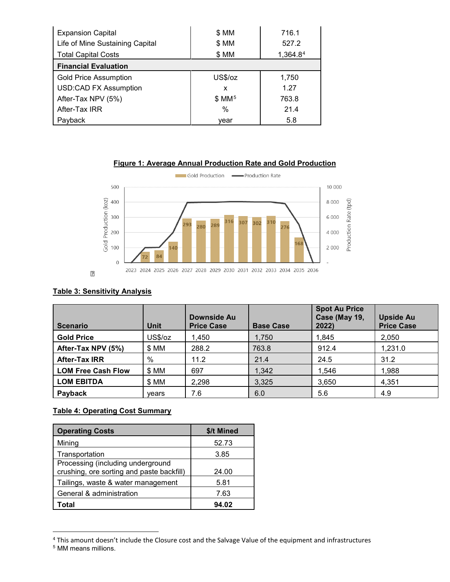| <b>Expansion Capital</b>        | \$ MM             | 716.1    |  |  |
|---------------------------------|-------------------|----------|--|--|
| Life of Mine Sustaining Capital | \$ MM             | 527.2    |  |  |
| <b>Total Capital Costs</b>      | \$ MM             | 1,364.84 |  |  |
| <b>Financial Evaluation</b>     |                   |          |  |  |
| <b>Gold Price Assumption</b>    | US\$/oz           | 1,750    |  |  |
| <b>USD:CAD FX Assumption</b>    | x                 | 1.27     |  |  |
| After-Tax NPV (5%)              | \$MM <sup>5</sup> | 763.8    |  |  |
| After-Tax IRR                   | $\%$              | 21.4     |  |  |
| Payback                         | vear              | 5.8      |  |  |





# **Table 3: Sensitivity Analysis**

| <b>Scenario</b>           | <b>Unit</b> | Downside Au<br><b>Price Case</b> | <b>Base Case</b> | <b>Spot Au Price</b><br>Case (May 19,<br>2022) | <b>Upside Au</b><br><b>Price Case</b> |
|---------------------------|-------------|----------------------------------|------------------|------------------------------------------------|---------------------------------------|
| <b>Gold Price</b>         | US\$/oz     | 1,450                            | 1,750            | 1,845                                          | 2,050                                 |
| After-Tax NPV (5%)        | \$MM        | 288.2                            | 763.8            | 912.4                                          | 1,231.0                               |
| <b>After-Tax IRR</b>      | %           | 11.2                             | 21.4             | 24.5                                           | 31.2                                  |
| <b>LOM Free Cash Flow</b> | \$ MM       | 697                              | 1,342            | 1,546                                          | 1,988                                 |
| <b>LOM EBITDA</b>         | \$MM        | 2,298                            | 3,325            | 3,650                                          | 4,351                                 |
| Payback                   | vears       | 7.6                              | 6.0              | 5.6                                            | 4.9                                   |

# **Table 4: Operating Cost Summary**

| <b>Operating Costs</b>                    | \$/t Mined |
|-------------------------------------------|------------|
| Mining                                    | 52.73      |
| Transportation                            | 3.85       |
| Processing (including underground         |            |
| crushing, ore sorting and paste backfill) | 24.00      |
| Tailings, waste & water management        | 5.81       |
| General & administration                  | 7.63       |
| Total                                     | 94.02      |

<span id="page-3-0"></span><sup>4</sup> This amount doesn't include the Closure cost and the Salvage Value of the equipment and infrastructures

 $\overline{a}$ 

<span id="page-3-1"></span><sup>5</sup> MM means millions.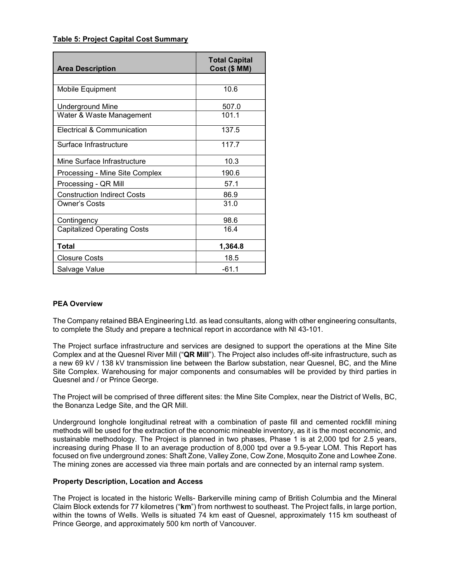#### **Table 5: Project Capital Cost Summary**

| <b>Area Description</b>            | <b>Total Capital</b><br>Cost (\$ MM) |
|------------------------------------|--------------------------------------|
|                                    |                                      |
| Mobile Equipment                   | 10.6                                 |
| <b>Underground Mine</b>            | 507.0                                |
| Water & Waste Management           | 101.1                                |
| Electrical & Communication         | 137.5                                |
| Surface Infrastructure             | 117.7                                |
| Mine Surface Infrastructure        | 10.3                                 |
| Processing - Mine Site Complex     | 190.6                                |
| Processing - QR Mill               | 57.1                                 |
| <b>Construction Indirect Costs</b> | 86.9                                 |
| Owner's Costs                      | 31.0                                 |
| Contingency                        | 98.6                                 |
| <b>Capitalized Operating Costs</b> | 16.4                                 |
| Total                              | 1,364.8                              |
| <b>Closure Costs</b>               | 18.5                                 |
| Salvage Value                      | $-61.1$                              |

# **PEA Overview**

The Company retained BBA Engineering Ltd. as lead consultants, along with other engineering consultants, to complete the Study and prepare a technical report in accordance with NI 43-101.

The Project surface infrastructure and services are designed to support the operations at the Mine Site Complex and at the Quesnel River Mill ("**QR Mill**"). The Project also includes off-site infrastructure, such as a new 69 kV / 138 kV transmission line between the Barlow substation, near Quesnel, BC, and the Mine Site Complex. Warehousing for major components and consumables will be provided by third parties in Quesnel and / or Prince George.

The Project will be comprised of three different sites: the Mine Site Complex, near the District of Wells, BC, the Bonanza Ledge Site, and the QR Mill.

Underground longhole longitudinal retreat with a combination of paste fill and cemented rockfill mining methods will be used for the extraction of the economic mineable inventory, as it is the most economic, and sustainable methodology. The Project is planned in two phases, Phase 1 is at 2,000 tpd for 2.5 years, increasing during Phase II to an average production of 8,000 tpd over a 9.5-year LOM. This Report has focused on five underground zones: Shaft Zone, Valley Zone, Cow Zone, Mosquito Zone and Lowhee Zone. The mining zones are accessed via three main portals and are connected by an internal ramp system.

#### **Property Description, Location and Access**

The Project is located in the historic Wells- Barkerville mining camp of British Columbia and the Mineral Claim Block extends for 77 kilometres ("**km**") from northwest to southeast. The Project falls, in large portion, within the towns of Wells. Wells is situated 74 km east of Quesnel, approximately 115 km southeast of Prince George, and approximately 500 km north of Vancouver.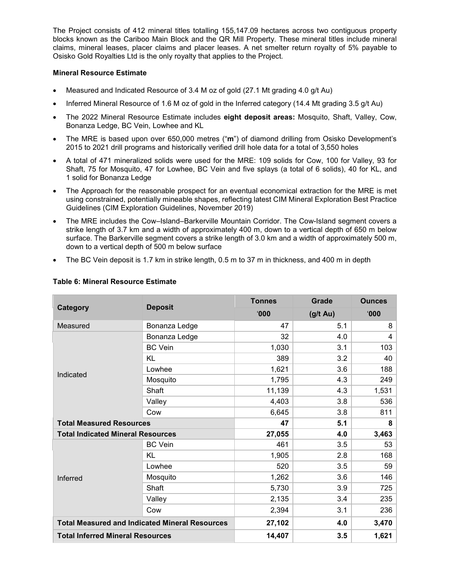The Project consists of 412 mineral titles totalling 155,147.09 hectares across two contiguous property blocks known as the Cariboo Main Block and the QR Mill Property. These mineral titles include mineral claims, mineral leases, placer claims and placer leases. A net smelter return royalty of 5% payable to Osisko Gold Royalties Ltd is the only royalty that applies to the Project.

#### **Mineral Resource Estimate**

- Measured and Indicated Resource of 3.4 M oz of gold (27.1 Mt grading 4.0 g/t Au)
- Inferred Mineral Resource of 1.6 M oz of gold in the Inferred category (14.4 Mt grading 3.5 g/t Au)
- The 2022 Mineral Resource Estimate includes **eight deposit areas:** Mosquito, Shaft, Valley, Cow, Bonanza Ledge, BC Vein, Lowhee and KL
- The MRE is based upon over 650,000 metres ("**m**") of diamond drilling from Osisko Development's 2015 to 2021 drill programs and historically verified drill hole data for a total of 3,550 holes
- A total of 471 mineralized solids were used for the MRE: 109 solids for Cow, 100 for Valley, 93 for Shaft, 75 for Mosquito, 47 for Lowhee, BC Vein and five splays (a total of 6 solids), 40 for KL, and 1 solid for Bonanza Ledge
- The Approach for the reasonable prospect for an eventual economical extraction for the MRE is met using constrained, potentially mineable shapes, reflecting latest CIM Mineral Exploration Best Practice Guidelines (CIM Exploration Guidelines, November 2019)
- The MRE includes the Cow–Island–Barkerville Mountain Corridor. The Cow-Island segment covers a strike length of 3.7 km and a width of approximately 400 m, down to a vertical depth of 650 m below surface. The Barkerville segment covers a strike length of 3.0 km and a width of approximately 500 m, down to a vertical depth of 500 m below surface
- The BC Vein deposit is 1.7 km in strike length, 0.5 m to 37 m in thickness, and 400 m in depth

|                                                       | <b>Deposit</b> | <b>Tonnes</b> | Grade              | <b>Ounces</b> |
|-------------------------------------------------------|----------------|---------------|--------------------|---------------|
| Category                                              |                | 000           | $(g/t \text{ Au})$ | 000           |
| Measured                                              | Bonanza Ledge  | 47            | 5.1                | 8             |
|                                                       | Bonanza Ledge  | 32            | 4.0                | 4             |
|                                                       | <b>BC</b> Vein | 1,030         | 3.1                | 103           |
|                                                       | <b>KL</b>      | 389           | 3.2                | 40            |
| Indicated                                             | Lowhee         | 1,621         | 3.6                | 188           |
|                                                       | Mosquito       | 1,795         | 4.3                | 249           |
|                                                       | Shaft          | 11,139        | 4.3                | 1,531         |
|                                                       | Valley         | 4,403         | 3.8                | 536           |
|                                                       | Cow            | 6,645         | 3.8                | 811           |
| <b>Total Measured Resources</b>                       |                | 47            | 5.1                | 8             |
| <b>Total Indicated Mineral Resources</b>              |                | 27,055        | 4.0                | 3,463         |
|                                                       | <b>BC</b> Vein | 461           | 3.5                | 53            |
|                                                       | KL             | 1,905         | 2.8                | 168           |
|                                                       | Lowhee         | 520           | 3.5                | 59            |
| Inferred                                              | Mosquito       | 1,262         | 3.6                | 146           |
|                                                       | Shaft          | 5,730         | 3.9                | 725           |
|                                                       | Valley         | 2,135         | 3.4                | 235           |
|                                                       | Cow            | 2,394         | 3.1                | 236           |
| <b>Total Measured and Indicated Mineral Resources</b> |                | 27,102        | 4.0                | 3,470         |
| <b>Total Inferred Mineral Resources</b>               |                | 14,407        | 3.5                | 1,621         |

# **Table 6: Mineral Resource Estimate**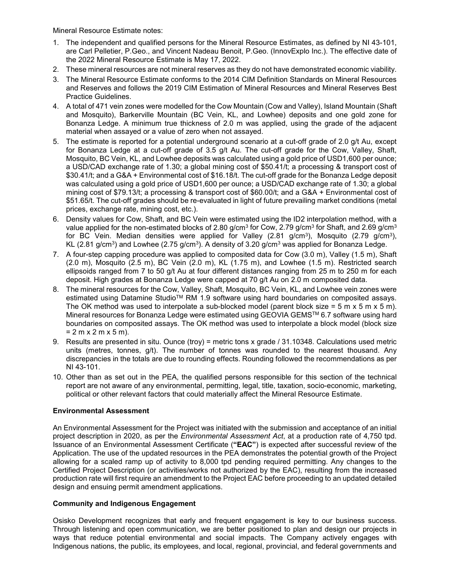Mineral Resource Estimate notes:

- 1. The independent and qualified persons for the Mineral Resource Estimates, as defined by NI 43-101, are Carl Pelletier, P.Geo., and Vincent Nadeau Benoit, P.Geo. (InnovExplo Inc.). The effective date of the 2022 Mineral Resource Estimate is May 17, 2022.
- 2. These mineral resources are not mineral reserves as they do not have demonstrated economic viability.
- 3. The Mineral Resource Estimate conforms to the 2014 CIM Definition Standards on Mineral Resources and Reserves and follows the 2019 CIM Estimation of Mineral Resources and Mineral Reserves Best Practice Guidelines.
- 4. A total of 471 vein zones were modelled for the Cow Mountain (Cow and Valley), Island Mountain (Shaft and Mosquito), Barkerville Mountain (BC Vein, KL, and Lowhee) deposits and one gold zone for Bonanza Ledge. A minimum true thickness of 2.0 m was applied, using the grade of the adjacent material when assayed or a value of zero when not assayed.
- 5. The estimate is reported for a potential underground scenario at a cut-off grade of 2.0 g/t Au, except for Bonanza Ledge at a cut-off grade of 3.5 g/t Au. The cut-off grade for the Cow, Valley, Shaft, Mosquito, BC Vein, KL, and Lowhee deposits was calculated using a gold price of USD1,600 per ounce; a USD/CAD exchange rate of 1.30; a global mining cost of \$50.41/t; a processing & transport cost of \$30.41/t; and a G&A + Environmental cost of \$16.18/t. The cut-off grade for the Bonanza Ledge deposit was calculated using a gold price of USD1,600 per ounce; a USD/CAD exchange rate of 1.30; a global mining cost of \$79.13/t; a processing & transport cost of \$60.00/t; and a G&A + Environmental cost of \$51.65/t. The cut-off grades should be re-evaluated in light of future prevailing market conditions (metal prices, exchange rate, mining cost, etc.).
- 6. Density values for Cow, Shaft, and BC Vein were estimated using the ID2 interpolation method, with a value applied for the non-estimated blocks of 2.80  $q/cm^3$  for Cow, 2.79  $q/cm^3$  for Shaft, and 2.69  $q/cm^3$ for BC Vein. Median densities were applied for Valley (2.81 g/cm<sup>3</sup>), Mosquito (2.79 g/cm<sup>3</sup>), KL  $(2.81 \text{ g/cm}^3)$  and Lowhee  $(2.75 \text{ g/cm}^3)$ . A density of 3.20 g/cm<sup>3</sup> was applied for Bonanza Ledge.
- 7. A four-step capping procedure was applied to composited data for Cow (3.0 m), Valley (1.5 m), Shaft  $(2.0 \text{ m})$ , Mosquito  $(2.5 \text{ m})$ , BC Vein  $(2.0 \text{ m})$ , KL  $(1.75 \text{ m})$ , and Lowhee  $(1.5 \text{ m})$ . Restricted search ellipsoids ranged from 7 to 50 g/t Au at four different distances ranging from 25 m to 250 m for each deposit. High grades at Bonanza Ledge were capped at 70 g/t Au on 2.0 m composited data.
- 8. The mineral resources for the Cow, Valley, Shaft, Mosquito, BC Vein, KL, and Lowhee vein zones were estimated using Datamine Studio<sup>™</sup> RM 1.9 software using hard boundaries on composited assays. The OK method was used to interpolate a sub-blocked model (parent block size = 5 m x 5 m x 5 m). Mineral resources for Bonanza Ledge were estimated using GEOVIA GEMS™ 6.7 software using hard boundaries on composited assays. The OK method was used to interpolate a block model (block size  $= 2 m x 2 m x 5 m$ ).
- 9. Results are presented in situ. Ounce (troy) = metric tons x grade / 31.10348. Calculations used metric units (metres, tonnes, g/t). The number of tonnes was rounded to the nearest thousand. Any discrepancies in the totals are due to rounding effects. Rounding followed the recommendations as per NI 43-101.
- 10. Other than as set out in the PEA, the qualified persons responsible for this section of the technical report are not aware of any environmental, permitting, legal, title, taxation, socio-economic, marketing, political or other relevant factors that could materially affect the Mineral Resource Estimate.

# **Environmental Assessment**

An Environmental Assessment for the Project was initiated with the submission and acceptance of an initial project description in 2020, as per the *Environmental Assessment Act*, at a production rate of 4,750 tpd. Issuance of an Environmental Assessment Certificate (**"EAC"**) is expected after successful review of the Application. The use of the updated resources in the PEA demonstrates the potential growth of the Project allowing for a scaled ramp up of activity to 8,000 tpd pending required permitting. Any changes to the Certified Project Description (or activities/works not authorized by the EAC), resulting from the increased production rate will first require an amendment to the Project EAC before proceeding to an updated detailed design and ensuing permit amendment applications.

# **Community and Indigenous Engagement**

Osisko Development recognizes that early and frequent engagement is key to our business success. Through listening and open communication, we are better positioned to plan and design our projects in ways that reduce potential environmental and social impacts. The Company actively engages with Indigenous nations, the public, its employees, and local, regional, provincial, and federal governments and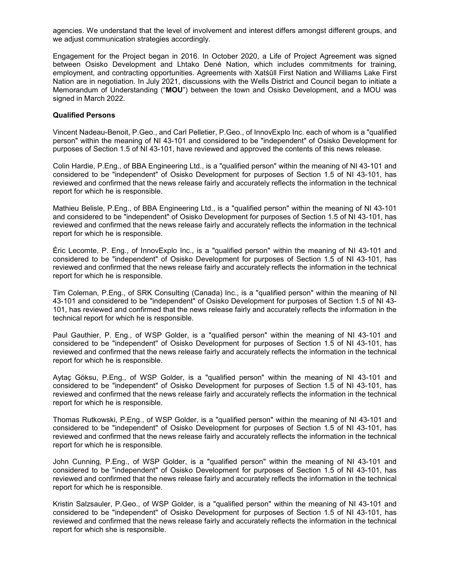agencies. We understand that the level of involvement and interest differs amongst different groups, and we adjust communication strategies accordingly.

Engagement for the Project began in 2016. In October 2020, a Life of Project Agreement was signed between Osisko Development and Lhtako Dené Nation, which includes commitments for training, employment, and contracting opportunities. Agreements with Xatśūll First Nation and Williams Lake First Nation are in negotiation. In July 2021, discussions with the Wells District and Council began to initiate a Memorandum of Understanding ("**MOU**") between the town and Osisko Development, and a MOU was signed in March 2022.

#### **Qualified Persons**

Vincent Nadeau-Benoit, P.Geo., and Carl Pelletier, P.Geo., of InnovExplo Inc. each of whom is a "qualified person" within the meaning of NI 43-101 and considered to be "independent" of Osisko Development for purposes of Section 1.5 of NI 43-101, have reviewed and approved the contents of this news release.

Colin Hardie, P.Eng., of BBA Engineering Ltd., is a "qualified person" within the meaning of NI 43-101 and considered to be "independent" of Osisko Development for purposes of Section 1.5 of NI 43-101, has reviewed and confirmed that the news release fairly and accurately reflects the information in the technical report for which he is responsible.

Mathieu Belisle, P.Eng., of BBA Engineering Ltd., is a "qualified person" within the meaning of NI 43-101 and considered to be "independent" of Osisko Development for purposes of Section 1.5 of NI 43-101, has reviewed and confirmed that the news release fairly and accurately reflects the information in the technical report for which he is responsible.

Éric Lecomte, P. Eng., of InnovExplo Inc., is a "qualified person" within the meaning of NI 43-101 and considered to be "independent" of Osisko Development for purposes of Section 1.5 of NI 43-101, has reviewed and confirmed that the news release fairly and accurately reflects the information in the technical report for which he is responsible.

Tim Coleman, P.Eng., of SRK Consulting (Canada) Inc., is a "qualified person" within the meaning of NI 43-101 and considered to be "independent" of Osisko Development for purposes of Section 1.5 of NI 43- 101, has reviewed and confirmed that the news release fairly and accurately reflects the information in the technical report for which he is responsible.

Paul Gauthier, P. Eng., of WSP Golder, is a "qualified person" within the meaning of NI 43-101 and considered to be "independent" of Osisko Development for purposes of Section 1.5 of NI 43-101, has reviewed and confirmed that the news release fairly and accurately reflects the information in the technical report for which he is responsible.

Aytaç Göksu, P.Eng., of WSP Golder, is a "qualified person" within the meaning of NI 43-101 and considered to be "independent" of Osisko Development for purposes of Section 1.5 of NI 43-101, has reviewed and confirmed that the news release fairly and accurately reflects the information in the technical report for which he is responsible.

Thomas Rutkowski, P.Eng., of WSP Golder, is a "qualified person" within the meaning of NI 43-101 and considered to be "independent" of Osisko Development for purposes of Section 1.5 of NI 43-101, has reviewed and confirmed that the news release fairly and accurately reflects the information in the technical report for which he is responsible.

John Cunning, P.Eng., of WSP Golder, is a "qualified person" within the meaning of NI 43-101 and considered to be "independent" of Osisko Development for purposes of Section 1.5 of NI 43-101, has reviewed and confirmed that the news release fairly and accurately reflects the information in the technical report for which he is responsible.

Kristin Salzsauler, P.Geo., of WSP Golder, is a "qualified person" within the meaning of NI 43-101 and considered to be "independent" of Osisko Development for purposes of Section 1.5 of NI 43-101, has reviewed and confirmed that the news release fairly and accurately reflects the information in the technical report for which she is responsible.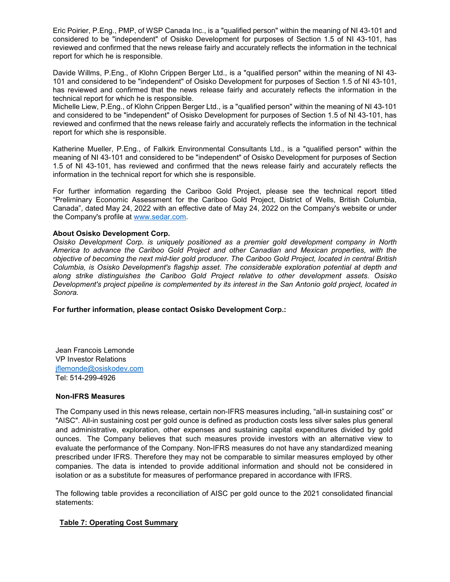Eric Poirier, P.Eng., PMP, of WSP Canada Inc., is a "qualified person" within the meaning of NI 43-101 and considered to be "independent" of Osisko Development for purposes of Section 1.5 of NI 43-101, has reviewed and confirmed that the news release fairly and accurately reflects the information in the technical report for which he is responsible.

Davide Willms, P.Eng., of Klohn Crippen Berger Ltd., is a "qualified person" within the meaning of NI 43- 101 and considered to be "independent" of Osisko Development for purposes of Section 1.5 of NI 43-101, has reviewed and confirmed that the news release fairly and accurately reflects the information in the technical report for which he is responsible.

Michelle Liew, P.Eng., of Klohn Crippen Berger Ltd., is a "qualified person" within the meaning of NI 43-101 and considered to be "independent" of Osisko Development for purposes of Section 1.5 of NI 43-101, has reviewed and confirmed that the news release fairly and accurately reflects the information in the technical report for which she is responsible.

Katherine Mueller, P.Eng., of Falkirk Environmental Consultants Ltd., is a "qualified person" within the meaning of NI 43-101 and considered to be "independent" of Osisko Development for purposes of Section 1.5 of NI 43-101, has reviewed and confirmed that the news release fairly and accurately reflects the information in the technical report for which she is responsible.

For further information regarding the Cariboo Gold Project, please see the technical report titled "Preliminary Economic Assessment for the Cariboo Gold Project, District of Wells, British Columbia, Canada", dated May 24, 2022 with an effective date of May 24, 2022 on the Company's website or under the Company's profile at [www.sedar.com.](http://www.sedar.com/)

#### **About Osisko Development Corp.**

*Osisko Development Corp. is uniquely positioned as a premier gold development company in North America to advance the Cariboo Gold Project and other Canadian and Mexican properties, with the objective of becoming the next mid-tier gold producer. The Cariboo Gold Project, located in central British Columbia, is Osisko Development's flagship asset. The considerable exploration potential at depth and along strike distinguishes the Cariboo Gold Project relative to other development assets. Osisko Development's project pipeline is complemented by its interest in the San Antonio gold project, located in Sonora.* 

**For further information, please contact Osisko Development Corp.:**

Jean Francois Lemonde VP Investor Relations [jflemonde@osiskodev.com](mailto:jflemonde@osiskodev.com) Tel: 514-299-4926

#### **Non-IFRS Measures**

The Company used in this news release, certain non-IFRS measures including, "all-in sustaining cost" or "AISC". All-in sustaining cost per gold ounce is defined as production costs less silver sales plus general and administrative, exploration, other expenses and sustaining capital expenditures divided by gold ounces. The Company believes that such measures provide investors with an alternative view to evaluate the performance of the Company. Non-IFRS measures do not have any standardized meaning prescribed under IFRS. Therefore they may not be comparable to similar measures employed by other companies. The data is intended to provide additional information and should not be considered in isolation or as a substitute for measures of performance prepared in accordance with IFRS.

The following table provides a reconciliation of AISC per gold ounce to the 2021 consolidated financial statements:

# **Table 7: Operating Cost Summary**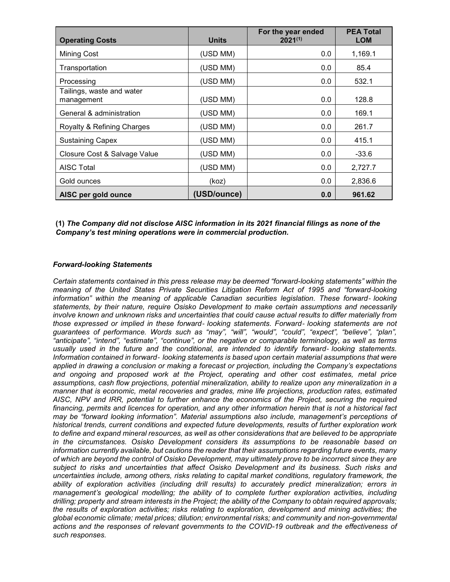| <b>Operating Costs</b>                  | <b>Units</b> | For the year ended<br>$2021^{(1)}$ | <b>PEA Total</b><br><b>LOM</b> |
|-----------------------------------------|--------------|------------------------------------|--------------------------------|
| <b>Mining Cost</b>                      | (USD MM)     | 0.0                                | 1,169.1                        |
| Transportation                          | (USD MM)     | 0.0                                | 85.4                           |
| Processing                              | (USD MM)     | 0.0                                | 532.1                          |
| Tailings, waste and water<br>management | (USD MM)     | 0.0                                | 128.8                          |
| General & administration                | (USD MM)     | 0.0                                | 169.1                          |
| Royalty & Refining Charges              | (USD MM)     | 0.0                                | 261.7                          |
| <b>Sustaining Capex</b>                 | (USD MM)     | 0.0                                | 415.1                          |
| Closure Cost & Salvage Value            | (USD MM)     | 0.0                                | $-33.6$                        |
| <b>AISC Total</b>                       | (USD MM)     | 0.0                                | 2,727.7                        |
| Gold ounces                             | (koz)        | 0.0                                | 2,836.6                        |
| AISC per gold ounce                     | (USD/ounce)  | 0.0                                | 961.62                         |

# **(1)** *The Company did not disclose AISC information in its 2021 financial filings as none of the Company's test mining operations were in commercial production.*

#### *Forward-looking Statements*

*Certain statements contained in this press release may be deemed "forward-looking statements" within the meaning of the United States Private Securities Litigation Reform Act of 1995 and "forward-looking information" within the meaning of applicable Canadian securities legislation. These forward*‐ *looking statements, by their nature, require Osisko Development to make certain assumptions and necessarily involve known and unknown risks and uncertainties that could cause actual results to differ materially from those expressed or implied in these forward*‐ *looking statements. Forward*‐ *looking statements are not guarantees of performance. Words such as "may", "will", "would", "could", "expect", "believe", "plan", "anticipate", "intend", "estimate", "continue", or the negative or comparable terminology, as well as terms usually used in the future and the conditional, are intended to identify forward*‐ *looking statements. Information contained in forward*‐ *looking statements is based upon certain material assumptions that were applied in drawing a conclusion or making a forecast or projection, including the Company's expectations and ongoing and proposed work at the Project, operating and other cost estimates, metal price assumptions, cash flow projections, potential mineralization, ability to realize upon any mineralization in a manner that is economic, metal recoveries and grades, mine life projections, production rates, estimated AISC, NPV and IRR, potential to further enhance the economics of the Project, securing the required financing, permits and licences for operation, and any other information herein that is not a historical fact may be "forward looking information". Material assumptions also include, management's perceptions of historical trends, current conditions and expected future developments, results of further exploration work to define and expand mineral resources, as well as other considerations that are believed to be appropriate in the circumstances. Osisko Development considers its assumptions to be reasonable based on information currently available, but cautions the reader that their assumptions regarding future events, many of which are beyond the control of Osisko Development, may ultimately prove to be incorrect since they are subject to risks and uncertainties that affect Osisko Development and its business. Such risks and uncertainties include, among others, risks relating to capital market conditions, regulatory framework, the ability of exploration activities (including drill results) to accurately predict mineralization; errors in management's geological modelling; the ability of to complete further exploration activities, including drilling; property and stream interests in the Project; the ability of the Company to obtain required approvals; the results of exploration activities; risks relating to exploration, development and mining activities; the global economic climate; metal prices; dilution; environmental risks; and community and non-governmental actions and the responses of relevant governments to the COVID-19 outbreak and the effectiveness of such responses.*